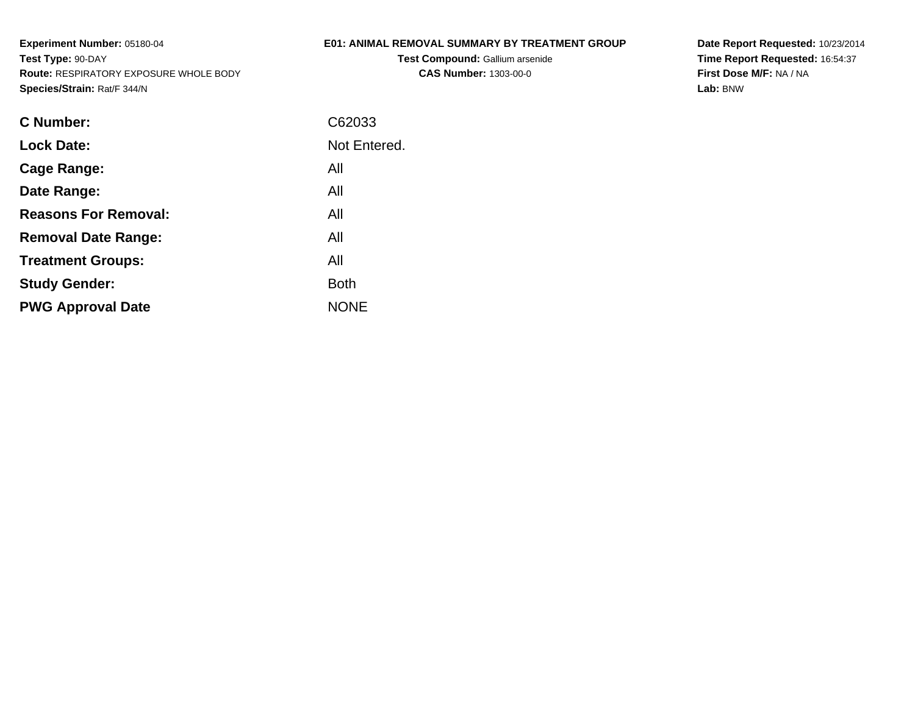# **E01: ANIMAL REMOVAL SUMMARY BY TREATMENT GROUP**

**Test Compound:** Gallium arsenide**CAS Number:** 1303-00-0

**Date Report Requested:** 10/23/2014 **Time Report Requested:** 16:54:37**First Dose M/F:** NA / NA**Lab:** BNW

| C Number:                   | C62033       |
|-----------------------------|--------------|
| <b>Lock Date:</b>           | Not Entered. |
| Cage Range:                 | All          |
| Date Range:                 | All          |
| <b>Reasons For Removal:</b> | All          |
| <b>Removal Date Range:</b>  | All          |
| <b>Treatment Groups:</b>    | All          |
| <b>Study Gender:</b>        | <b>Both</b>  |
| <b>PWG Approval Date</b>    | <b>NONE</b>  |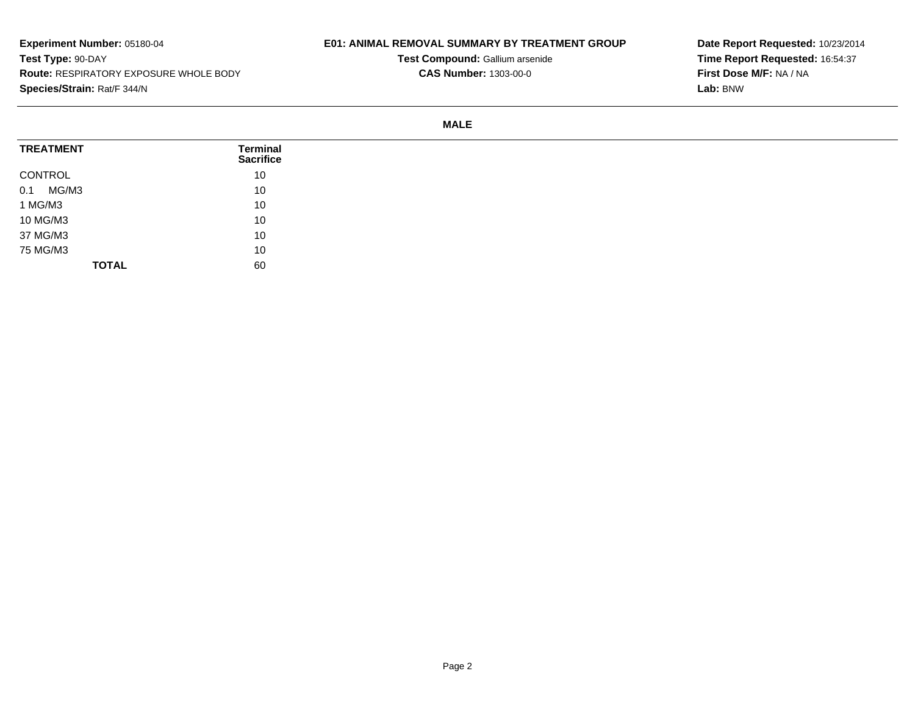## **E01: ANIMAL REMOVAL SUMMARY BY TREATMENT GROUP**

**Test Compound:** Gallium arsenide**CAS Number:** 1303-00-0

**Date Report Requested:** 10/23/2014**Time Report Requested:** 16:54:37**First Dose M/F:** NA / NA**Lab:** BNW

#### **MALE**

| <b>TREATMENT</b> | Terminal<br><b>Sacrifice</b> |
|------------------|------------------------------|
| CONTROL          | 10                           |
| MG/M3<br>0.1     | 10                           |
| 1 MG/M3          | 10                           |
| 10 MG/M3         | 10                           |
| 37 MG/M3         | 10                           |
| 75 MG/M3         | 10                           |
| <b>TOTAL</b>     | 60                           |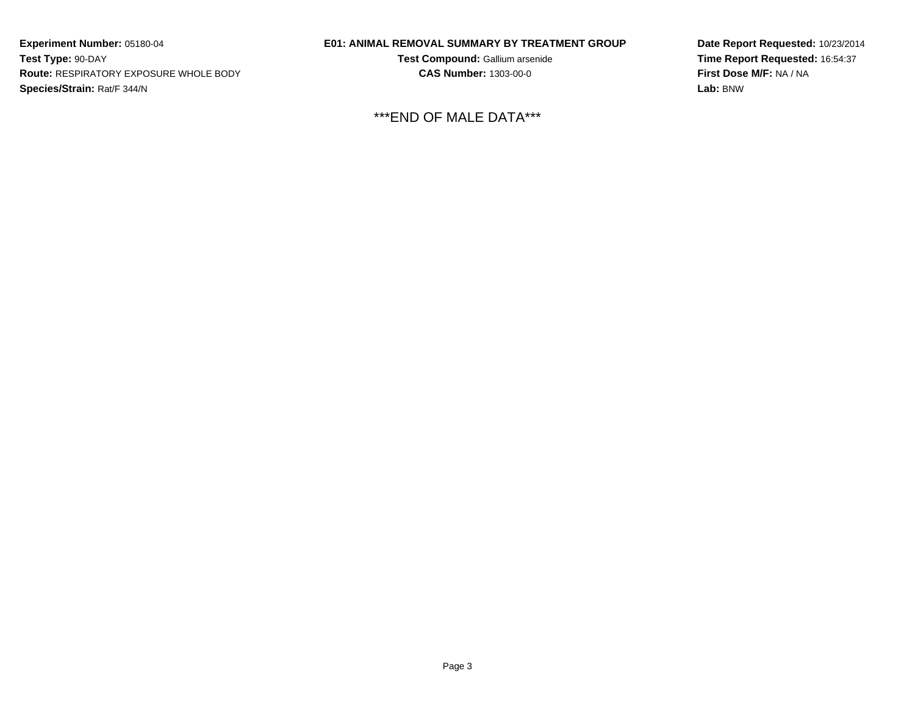## **E01: ANIMAL REMOVAL SUMMARY BY TREATMENT GROUP**

**Test Compound:** Gallium arsenide**CAS Number:** 1303-00-0

\*\*\*END OF MALE DATA\*\*\*

**Date Report Requested:** 10/23/2014**Time Report Requested:** 16:54:37**First Dose M/F:** NA / NA**Lab:** BNW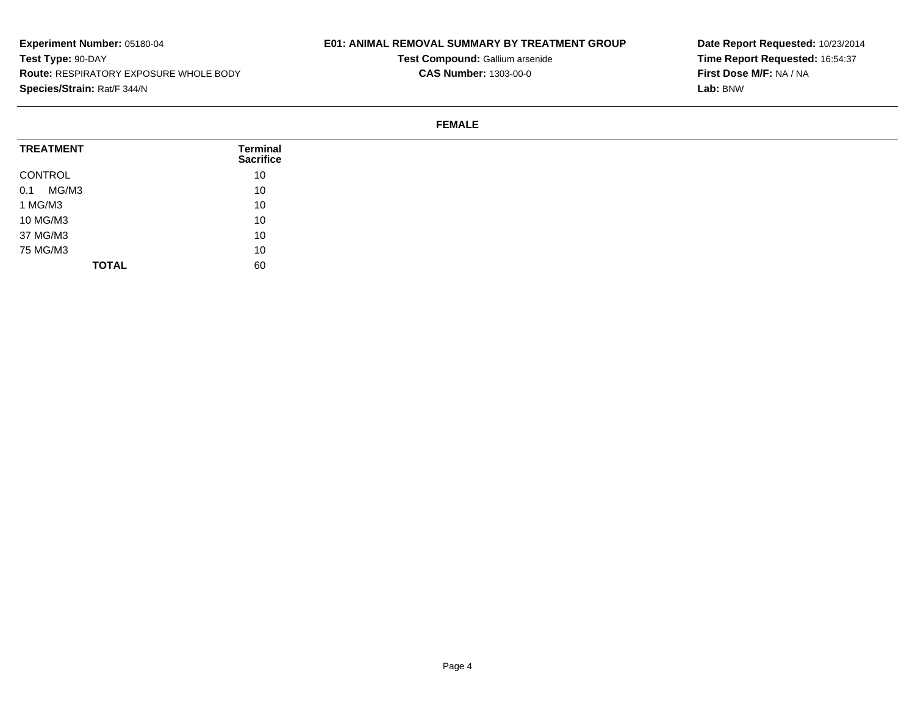# **E01: ANIMAL REMOVAL SUMMARY BY TREATMENT GROUP**

**Test Compound:** Gallium arsenide**CAS Number:** 1303-00-0

**Date Report Requested:** 10/23/2014**Time Report Requested:** 16:54:37**First Dose M/F:** NA / NA**Lab:** BNW

#### **FEMALE**

| <b>TREATMENT</b> | <b>Terminal</b><br><b>Sacrifice</b> |
|------------------|-------------------------------------|
| CONTROL          | 10                                  |
| MG/M3<br>0.1     | 10                                  |
| 1 MG/M3          | 10                                  |
| 10 MG/M3         | 10                                  |
| 37 MG/M3         | 10                                  |
| 75 MG/M3         | 10                                  |
| <b>TOTAL</b>     | 60                                  |